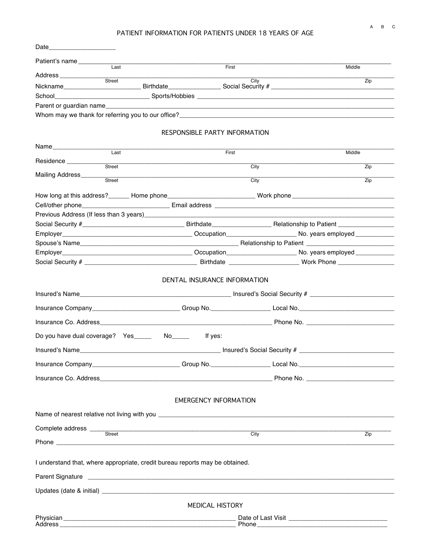## PATIENT INFORMATION FOR PATIENTS UNDER 18 YEARS OF AGE

| First                                                                                                          | Middle                                |
|----------------------------------------------------------------------------------------------------------------|---------------------------------------|
|                                                                                                                |                                       |
| City                                                                                                           | $\overline{Zip}$                      |
|                                                                                                                |                                       |
|                                                                                                                |                                       |
|                                                                                                                |                                       |
| RESPONSIBLE PARTY INFORMATION                                                                                  |                                       |
|                                                                                                                |                                       |
|                                                                                                                | Middle                                |
| City                                                                                                           | Zip                                   |
| City                                                                                                           | Zip                                   |
|                                                                                                                |                                       |
|                                                                                                                |                                       |
|                                                                                                                |                                       |
|                                                                                                                |                                       |
|                                                                                                                |                                       |
|                                                                                                                |                                       |
|                                                                                                                |                                       |
|                                                                                                                |                                       |
| Insurance Company____________________________Group No._____________________Local No.__________________________ |                                       |
|                                                                                                                |                                       |
|                                                                                                                |                                       |
|                                                                                                                |                                       |
| Insurance Company entertainment of Group No. And Construction Construction of the Company of Group No.         |                                       |
|                                                                                                                |                                       |
| <b>EMERGENCY INFORMATION</b>                                                                                   |                                       |
|                                                                                                                |                                       |
|                                                                                                                |                                       |
| City                                                                                                           | Zip                                   |
|                                                                                                                |                                       |
| I understand that, where appropriate, credit bureau reports may be obtained.                                   |                                       |
|                                                                                                                |                                       |
|                                                                                                                |                                       |
|                                                                                                                |                                       |
| MEDICAL HISTORY                                                                                                |                                       |
|                                                                                                                | First<br>DENTAL INSURANCE INFORMATION |